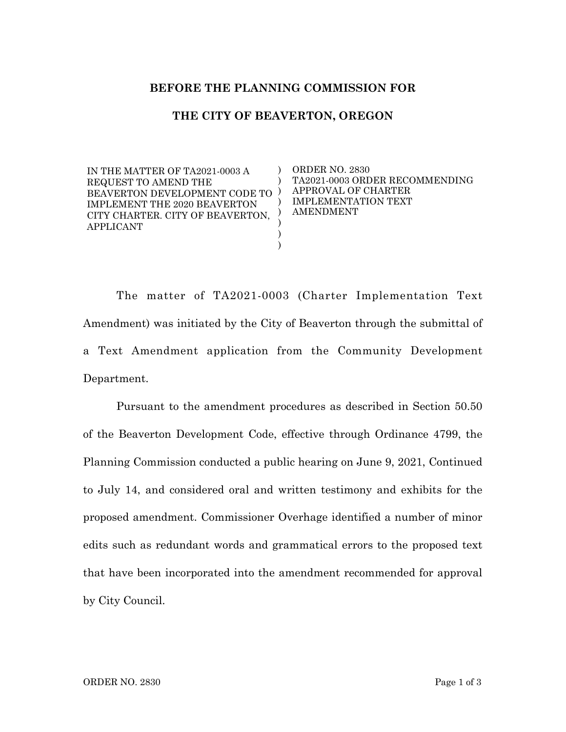## **BEFORE THE PLANNING COMMISSION FOR**

## **THE CITY OF BEAVERTON, OREGON**

) )  $)$ ) ) ) ) )

IN THE MATTER OF TA2021-0003 A REQUEST TO AMEND THE BEAVERTON DEVELOPMENT CODE TO IMPLEMENT THE 2020 BEAVERTON CITY CHARTER. CITY OF BEAVERTON, APPLICANT

ORDER NO. 2830 TA2021-0003 ORDER RECOMMENDING APPROVAL OF CHARTER IMPLEMENTATION TEXT AMENDMENT

The matter of TA2021-0003 (Charter Implementation Text Amendment) was initiated by the City of Beaverton through the submittal of a Text Amendment application from the Community Development Department.

Pursuant to the amendment procedures as described in Section 50.50 of the Beaverton Development Code, effective through Ordinance 4799, the Planning Commission conducted a public hearing on June 9, 2021, Continued to July 14, and considered oral and written testimony and exhibits for the proposed amendment. Commissioner Overhage identified a number of minor edits such as redundant words and grammatical errors to the proposed text that have been incorporated into the amendment recommended for approval by City Council.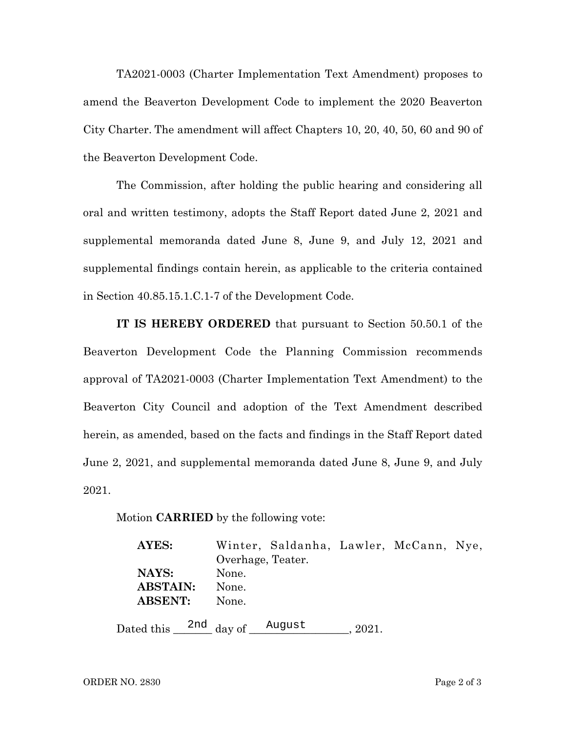TA2021-0003 (Charter Implementation Text Amendment) proposes to amend the Beaverton Development Code to implement the 2020 Beaverton City Charter. The amendment will affect Chapters 10, 20, 40, 50, 60 and 90 of the Beaverton Development Code.

The Commission, after holding the public hearing and considering all oral and written testimony, adopts the Staff Report dated June 2, 2021 and supplemental memoranda dated June 8, June 9, and July 12, 2021 and supplemental findings contain herein, as applicable to the criteria contained in Section 40.85.15.1.C.1-7 of the Development Code.

**IT IS HEREBY ORDERED** that pursuant to Section 50.50.1 of the Beaverton Development Code the Planning Commission recommends approval of TA2021-0003 (Charter Implementation Text Amendment) to the Beaverton City Council and adoption of the Text Amendment described herein, as amended, based on the facts and findings in the Staff Report dated June 2, 2021, and supplemental memoranda dated June 8, June 9, and July 2021.

Motion **CARRIED** by the following vote:

| AYES:           | Winter, Saldanha, Lawler, McCann, Nye,                 |  |
|-----------------|--------------------------------------------------------|--|
|                 | Overhage, Teater.                                      |  |
| NAYS:           | None.                                                  |  |
| <b>ABSTAIN:</b> | None.                                                  |  |
| <b>ABSENT:</b>  | None.                                                  |  |
|                 | Dated this $\frac{2nd}{\text{day of}}$ August<br>2021. |  |